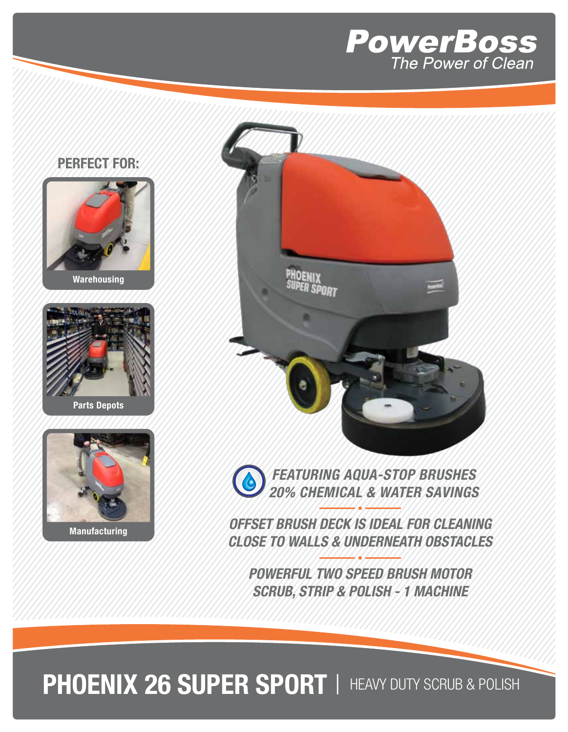

## **PERFECT FOR:**







**Manufacturing**



**POWERFUL TWO SPEED BRUSH MOTOR SCRUB, STRIP & POLISH - 1 MACHINE**

**PHOENIX 26 SUPER SPORT** | HEAVY DUTY SCRUB & POLISH